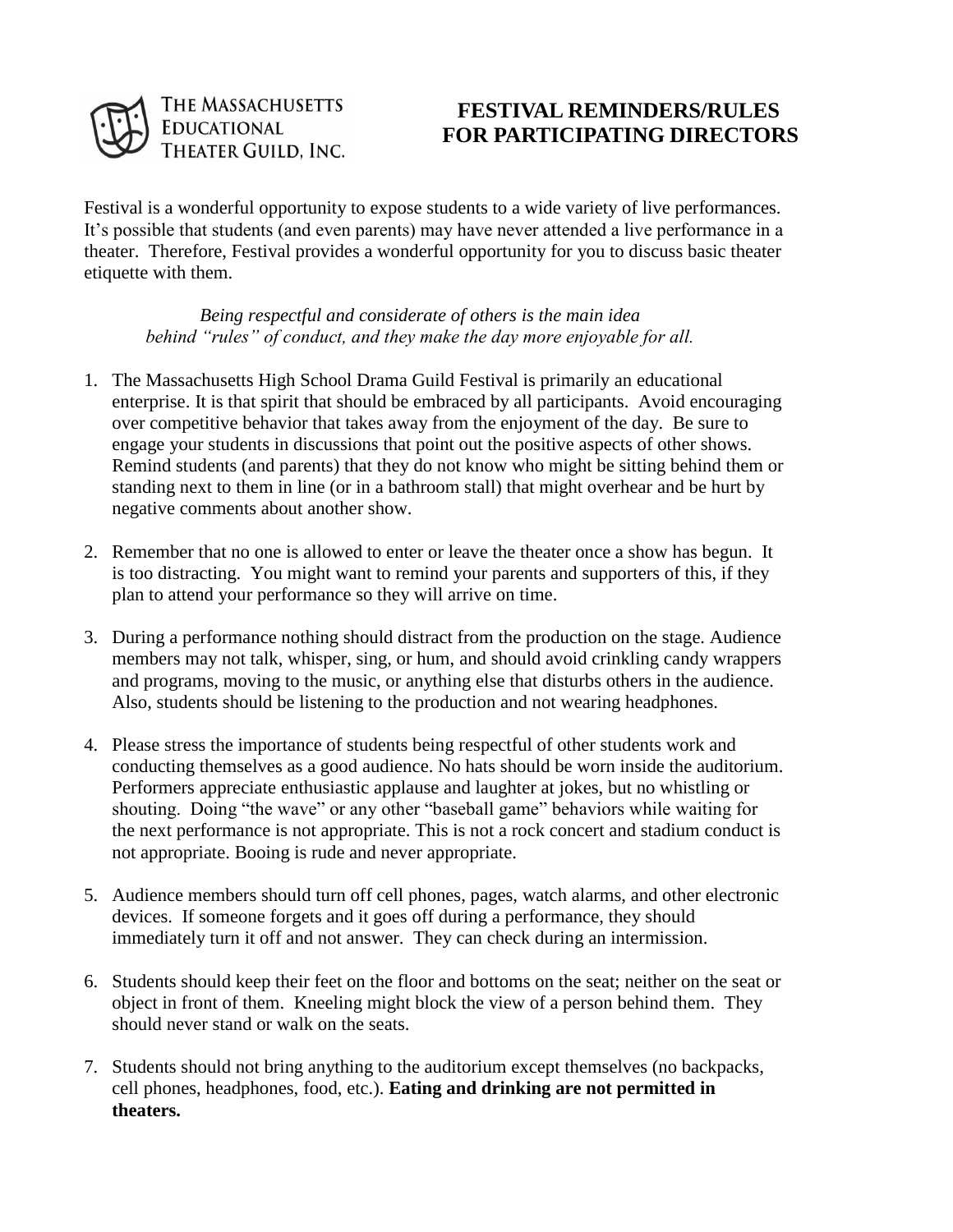

## THE MASSACHUSETTS **FESTIVAL REMINDERS/RULES**<br> **FOR PARTICIPATING DIRECTOR**<br>
THEATER GUILD, INC.  **FOR PARTICIPATING DIRECTORS**

Festival is a wonderful opportunity to expose students to a wide variety of live performances. It's possible that students (and even parents) may have never attended a live performance in a theater. Therefore, Festival provides a wonderful opportunity for you to discuss basic theater etiquette with them.

*Being respectful and considerate of others is the main idea behind "rules" of conduct, and they make the day more enjoyable for all.*

- 1. The Massachusetts High School Drama Guild Festival is primarily an educational enterprise. It is that spirit that should be embraced by all participants. Avoid encouraging over competitive behavior that takes away from the enjoyment of the day. Be sure to engage your students in discussions that point out the positive aspects of other shows. Remind students (and parents) that they do not know who might be sitting behind them or standing next to them in line (or in a bathroom stall) that might overhear and be hurt by negative comments about another show.
- 2. Remember that no one is allowed to enter or leave the theater once a show has begun. It is too distracting. You might want to remind your parents and supporters of this, if they plan to attend your performance so they will arrive on time.
- 3. During a performance nothing should distract from the production on the stage. Audience members may not talk, whisper, sing, or hum, and should avoid crinkling candy wrappers and programs, moving to the music, or anything else that disturbs others in the audience. Also, students should be listening to the production and not wearing headphones.
- 4. Please stress the importance of students being respectful of other students work and conducting themselves as a good audience. No hats should be worn inside the auditorium. Performers appreciate enthusiastic applause and laughter at jokes, but no whistling or shouting. Doing "the wave" or any other "baseball game" behaviors while waiting for the next performance is not appropriate. This is not a rock concert and stadium conduct is not appropriate. Booing is rude and never appropriate.
- 5. Audience members should turn off cell phones, pages, watch alarms, and other electronic devices. If someone forgets and it goes off during a performance, they should immediately turn it off and not answer. They can check during an intermission.
- 6. Students should keep their feet on the floor and bottoms on the seat; neither on the seat or object in front of them. Kneeling might block the view of a person behind them. They should never stand or walk on the seats.
- 7. Students should not bring anything to the auditorium except themselves (no backpacks, cell phones, headphones, food, etc.). **Eating and drinking are not permitted in theaters.**